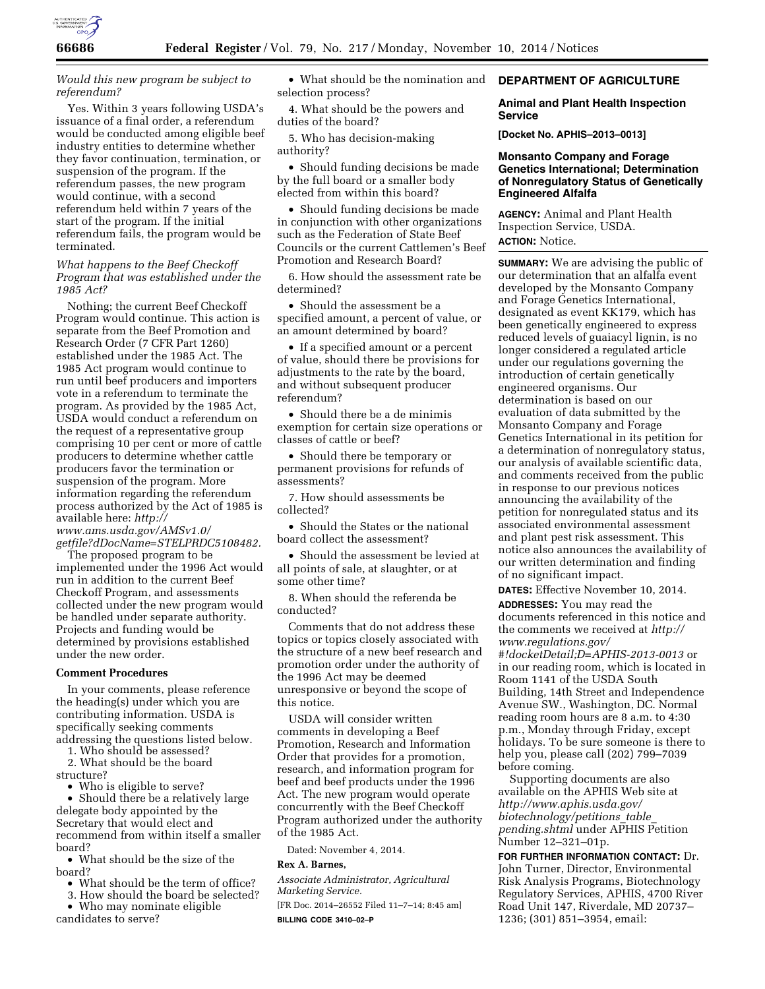

## *Would this new program be subject to referendum?*

Yes. Within 3 years following USDA's issuance of a final order, a referendum would be conducted among eligible beef industry entities to determine whether they favor continuation, termination, or suspension of the program. If the referendum passes, the new program would continue, with a second referendum held within 7 years of the start of the program. If the initial referendum fails, the program would be terminated.

## *What happens to the Beef Checkoff Program that was established under the 1985 Act?*

Nothing; the current Beef Checkoff Program would continue. This action is separate from the Beef Promotion and Research Order (7 CFR Part 1260) established under the 1985 Act. The 1985 Act program would continue to run until beef producers and importers vote in a referendum to terminate the program. As provided by the 1985 Act, USDA would conduct a referendum on the request of a representative group comprising 10 per cent or more of cattle producers to determine whether cattle producers favor the termination or suspension of the program. More information regarding the referendum process authorized by the Act of 1985 is available here: *[http://](http://www.ams.usda.gov/AMSv1.0/getfile?dDocName=STELPRDC5108482) [www.ams.usda.gov/AMSv1.0/](http://www.ams.usda.gov/AMSv1.0/getfile?dDocName=STELPRDC5108482)*

*[getfile?dDocName=STELPRDC5108482.](http://www.ams.usda.gov/AMSv1.0/getfile?dDocName=STELPRDC5108482)* 

The proposed program to be implemented under the 1996 Act would run in addition to the current Beef Checkoff Program, and assessments collected under the new program would be handled under separate authority. Projects and funding would be determined by provisions established under the new order.

#### **Comment Procedures**

In your comments, please reference the heading(s) under which you are contributing information. USDA is specifically seeking comments addressing the questions listed below.

1. Who should be assessed?

2. What should be the board structure?

• Who is eligible to serve?

• Should there be a relatively large delegate body appointed by the Secretary that would elect and recommend from within itself a smaller board?

• What should be the size of the board?

- What should be the term of office?
- 3. How should the board be selected?
- Who may nominate eligible candidates to serve?

• What should be the nomination and selection process?

4. What should be the powers and duties of the board?

5. Who has decision-making authority?

• Should funding decisions be made by the full board or a smaller body elected from within this board?

• Should funding decisions be made in conjunction with other organizations such as the Federation of State Beef Councils or the current Cattlemen's Beef Promotion and Research Board?

6. How should the assessment rate be determined?

• Should the assessment be a specified amount, a percent of value, or an amount determined by board?

• If a specified amount or a percent of value, should there be provisions for adjustments to the rate by the board, and without subsequent producer referendum?

• Should there be a de minimis exemption for certain size operations or classes of cattle or beef?

• Should there be temporary or permanent provisions for refunds of assessments?

7. How should assessments be collected?

• Should the States or the national board collect the assessment?

• Should the assessment be levied at all points of sale, at slaughter, or at some other time?

8. When should the referenda be conducted?

Comments that do not address these topics or topics closely associated with the structure of a new beef research and promotion order under the authority of the 1996 Act may be deemed unresponsive or beyond the scope of this notice.

USDA will consider written comments in developing a Beef Promotion, Research and Information Order that provides for a promotion, research, and information program for beef and beef products under the 1996 Act. The new program would operate concurrently with the Beef Checkoff Program authorized under the authority of the 1985 Act.

Dated: November 4, 2014.

## **Rex A. Barnes,**

*Associate Administrator, Agricultural Marketing Service.* 

[FR Doc. 2014–26552 Filed 11–7–14; 8:45 am] **BILLING CODE 3410–02–P** 

## **DEPARTMENT OF AGRICULTURE**

### **Animal and Plant Health Inspection Service**

**[Docket No. APHIS–2013–0013]** 

## **Monsanto Company and Forage Genetics International; Determination of Nonregulatory Status of Genetically Engineered Alfalfa**

**AGENCY:** Animal and Plant Health Inspection Service, USDA. **ACTION:** Notice.

**SUMMARY:** We are advising the public of our determination that an alfalfa event developed by the Monsanto Company and Forage Genetics International, designated as event KK179, which has been genetically engineered to express reduced levels of guaiacyl lignin, is no longer considered a regulated article under our regulations governing the introduction of certain genetically engineered organisms. Our determination is based on our evaluation of data submitted by the Monsanto Company and Forage Genetics International in its petition for a determination of nonregulatory status, our analysis of available scientific data, and comments received from the public in response to our previous notices announcing the availability of the petition for nonregulated status and its associated environmental assessment and plant pest risk assessment. This notice also announces the availability of our written determination and finding of no significant impact.

**DATES:** Effective November 10, 2014.

**ADDRESSES:** You may read the documents referenced in this notice and the comments we received at *[http://](http://www.regulations.gov/#!docketDetail;D=APHIS-2013-0013) [www.regulations.gov/](http://www.regulations.gov/#!docketDetail;D=APHIS-2013-0013) [#!docketDetail;D=APHIS-2013-0013](http://www.regulations.gov/#!docketDetail;D=APHIS-2013-0013)* or in our reading room, which is located in Room 1141 of the USDA South Building, 14th Street and Independence Avenue SW., Washington, DC. Normal reading room hours are 8 a.m. to 4:30 p.m., Monday through Friday, except holidays. To be sure someone is there to help you, please call (202) 799–7039 before coming.

Supporting documents are also available on the APHIS Web site at *[http://www.aphis.usda.gov/](http://www.aphis.usda.gov/biotechnology/petitions_table_pending.shtml) [biotechnology/petitions](http://www.aphis.usda.gov/biotechnology/petitions_table_pending.shtml)*\_*table*\_ *[pending.shtml](http://www.aphis.usda.gov/biotechnology/petitions_table_pending.shtml)* under APHIS Petition Number 12–321–01p.

**FOR FURTHER INFORMATION CONTACT:** Dr. John Turner, Director, Environmental Risk Analysis Programs, Biotechnology Regulatory Services, APHIS, 4700 River Road Unit 147, Riverdale, MD 20737– 1236; (301) 851–3954, email: